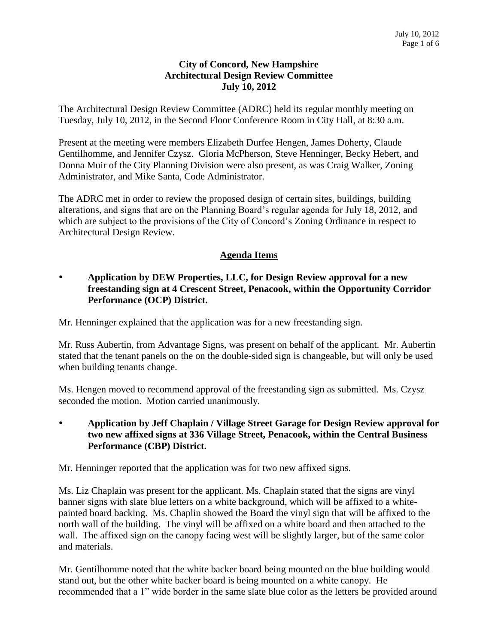#### **City of Concord, New Hampshire Architectural Design Review Committee July 10, 2012**

The Architectural Design Review Committee (ADRC) held its regular monthly meeting on Tuesday, July 10, 2012, in the Second Floor Conference Room in City Hall, at 8:30 a.m.

Present at the meeting were members Elizabeth Durfee Hengen, James Doherty, Claude Gentilhomme, and Jennifer Czysz. Gloria McPherson, Steve Henninger, Becky Hebert, and Donna Muir of the City Planning Division were also present, as was Craig Walker, Zoning Administrator, and Mike Santa, Code Administrator.

The ADRC met in order to review the proposed design of certain sites, buildings, building alterations, and signs that are on the Planning Board's regular agenda for July 18, 2012, and which are subject to the provisions of the City of Concord's Zoning Ordinance in respect to Architectural Design Review.

## **Agenda Items**

### **Application by DEW Properties, LLC, for Design Review approval for a new freestanding sign at 4 Crescent Street, Penacook, within the Opportunity Corridor Performance (OCP) District.**

Mr. Henninger explained that the application was for a new freestanding sign.

Mr. Russ Aubertin, from Advantage Signs, was present on behalf of the applicant. Mr. Aubertin stated that the tenant panels on the on the double-sided sign is changeable, but will only be used when building tenants change.

Ms. Hengen moved to recommend approval of the freestanding sign as submitted. Ms. Czysz seconded the motion. Motion carried unanimously.

 **Application by Jeff Chaplain / Village Street Garage for Design Review approval for two new affixed signs at 336 Village Street, Penacook, within the Central Business Performance (CBP) District.** 

Mr. Henninger reported that the application was for two new affixed signs.

Ms. Liz Chaplain was present for the applicant. Ms. Chaplain stated that the signs are vinyl banner signs with slate blue letters on a white background, which will be affixed to a whitepainted board backing. Ms. Chaplin showed the Board the vinyl sign that will be affixed to the north wall of the building. The vinyl will be affixed on a white board and then attached to the wall. The affixed sign on the canopy facing west will be slightly larger, but of the same color and materials.

Mr. Gentilhomme noted that the white backer board being mounted on the blue building would stand out, but the other white backer board is being mounted on a white canopy. He recommended that a 1" wide border in the same slate blue color as the letters be provided around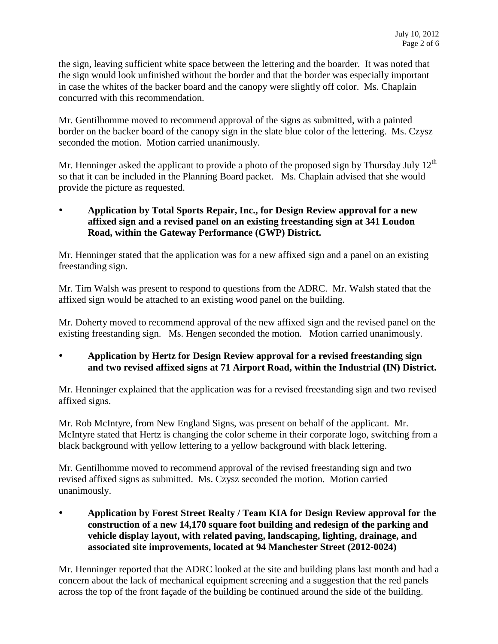the sign, leaving sufficient white space between the lettering and the boarder. It was noted that the sign would look unfinished without the border and that the border was especially important in case the whites of the backer board and the canopy were slightly off color. Ms. Chaplain concurred with this recommendation.

Mr. Gentilhomme moved to recommend approval of the signs as submitted, with a painted border on the backer board of the canopy sign in the slate blue color of the lettering. Ms. Czysz seconded the motion. Motion carried unanimously.

Mr. Henninger asked the applicant to provide a photo of the proposed sign by Thursday July  $12<sup>th</sup>$ so that it can be included in the Planning Board packet. Ms. Chaplain advised that she would provide the picture as requested.

### **Application by Total Sports Repair, Inc., for Design Review approval for a new affixed sign and a revised panel on an existing freestanding sign at 341 Loudon Road, within the Gateway Performance (GWP) District.**

Mr. Henninger stated that the application was for a new affixed sign and a panel on an existing freestanding sign.

Mr. Tim Walsh was present to respond to questions from the ADRC. Mr. Walsh stated that the affixed sign would be attached to an existing wood panel on the building.

Mr. Doherty moved to recommend approval of the new affixed sign and the revised panel on the existing freestanding sign. Ms. Hengen seconded the motion. Motion carried unanimously.

 **Application by Hertz for Design Review approval for a revised freestanding sign and two revised affixed signs at 71 Airport Road, within the Industrial (IN) District.** 

Mr. Henninger explained that the application was for a revised freestanding sign and two revised affixed signs.

Mr. Rob McIntyre, from New England Signs, was present on behalf of the applicant. Mr. McIntyre stated that Hertz is changing the color scheme in their corporate logo, switching from a black background with yellow lettering to a yellow background with black lettering.

Mr. Gentilhomme moved to recommend approval of the revised freestanding sign and two revised affixed signs as submitted. Ms. Czysz seconded the motion. Motion carried unanimously.

 **Application by Forest Street Realty / Team KIA for Design Review approval for the construction of a new 14,170 square foot building and redesign of the parking and vehicle display layout, with related paving, landscaping, lighting, drainage, and associated site improvements, located at 94 Manchester Street (2012-0024)** 

Mr. Henninger reported that the ADRC looked at the site and building plans last month and had a concern about the lack of mechanical equipment screening and a suggestion that the red panels across the top of the front façade of the building be continued around the side of the building.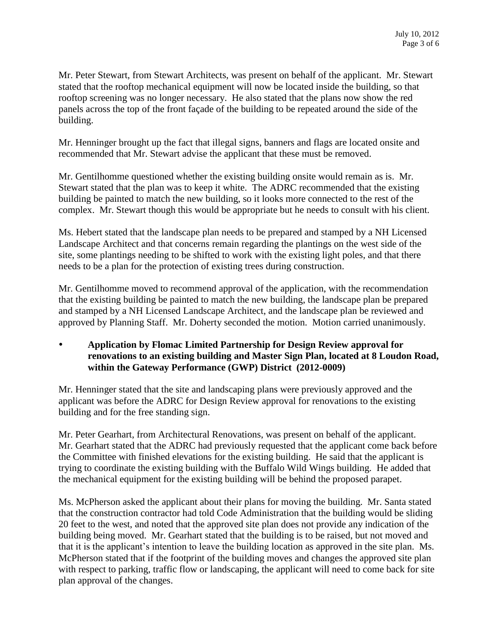Mr. Peter Stewart, from Stewart Architects, was present on behalf of the applicant. Mr. Stewart stated that the rooftop mechanical equipment will now be located inside the building, so that rooftop screening was no longer necessary. He also stated that the plans now show the red panels across the top of the front façade of the building to be repeated around the side of the building.

Mr. Henninger brought up the fact that illegal signs, banners and flags are located onsite and recommended that Mr. Stewart advise the applicant that these must be removed.

Mr. Gentilhomme questioned whether the existing building onsite would remain as is. Mr. Stewart stated that the plan was to keep it white. The ADRC recommended that the existing building be painted to match the new building, so it looks more connected to the rest of the complex. Mr. Stewart though this would be appropriate but he needs to consult with his client.

Ms. Hebert stated that the landscape plan needs to be prepared and stamped by a NH Licensed Landscape Architect and that concerns remain regarding the plantings on the west side of the site, some plantings needing to be shifted to work with the existing light poles, and that there needs to be a plan for the protection of existing trees during construction.

Mr. Gentilhomme moved to recommend approval of the application, with the recommendation that the existing building be painted to match the new building, the landscape plan be prepared and stamped by a NH Licensed Landscape Architect, and the landscape plan be reviewed and approved by Planning Staff. Mr. Doherty seconded the motion. Motion carried unanimously.

### **Application by Flomac Limited Partnership for Design Review approval for renovations to an existing building and Master Sign Plan, located at 8 Loudon Road, within the Gateway Performance (GWP) District (2012-0009)**

Mr. Henninger stated that the site and landscaping plans were previously approved and the applicant was before the ADRC for Design Review approval for renovations to the existing building and for the free standing sign.

Mr. Peter Gearhart, from Architectural Renovations, was present on behalf of the applicant. Mr. Gearhart stated that the ADRC had previously requested that the applicant come back before the Committee with finished elevations for the existing building. He said that the applicant is trying to coordinate the existing building with the Buffalo Wild Wings building. He added that the mechanical equipment for the existing building will be behind the proposed parapet.

Ms. McPherson asked the applicant about their plans for moving the building. Mr. Santa stated that the construction contractor had told Code Administration that the building would be sliding 20 feet to the west, and noted that the approved site plan does not provide any indication of the building being moved. Mr. Gearhart stated that the building is to be raised, but not moved and that it is the applicant's intention to leave the building location as approved in the site plan. Ms. McPherson stated that if the footprint of the building moves and changes the approved site plan with respect to parking, traffic flow or landscaping, the applicant will need to come back for site plan approval of the changes.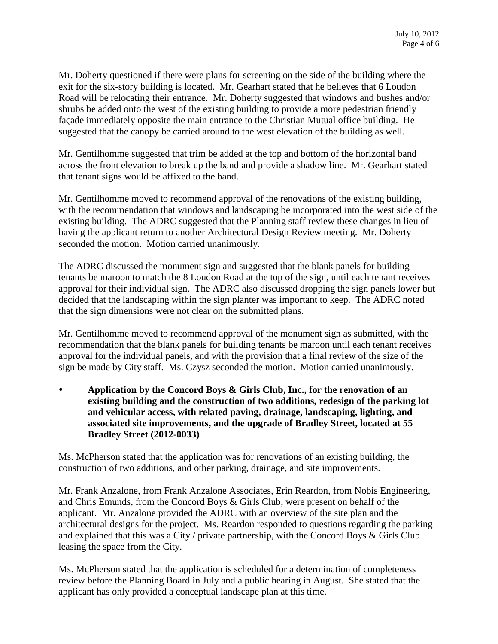Mr. Doherty questioned if there were plans for screening on the side of the building where the exit for the six-story building is located. Mr. Gearhart stated that he believes that 6 Loudon Road will be relocating their entrance. Mr. Doherty suggested that windows and bushes and/or shrubs be added onto the west of the existing building to provide a more pedestrian friendly façade immediately opposite the main entrance to the Christian Mutual office building. He suggested that the canopy be carried around to the west elevation of the building as well.

Mr. Gentilhomme suggested that trim be added at the top and bottom of the horizontal band across the front elevation to break up the band and provide a shadow line. Mr. Gearhart stated that tenant signs would be affixed to the band.

Mr. Gentilhomme moved to recommend approval of the renovations of the existing building, with the recommendation that windows and landscaping be incorporated into the west side of the existing building. The ADRC suggested that the Planning staff review these changes in lieu of having the applicant return to another Architectural Design Review meeting. Mr. Doherty seconded the motion. Motion carried unanimously.

The ADRC discussed the monument sign and suggested that the blank panels for building tenants be maroon to match the 8 Loudon Road at the top of the sign, until each tenant receives approval for their individual sign. The ADRC also discussed dropping the sign panels lower but decided that the landscaping within the sign planter was important to keep. The ADRC noted that the sign dimensions were not clear on the submitted plans.

Mr. Gentilhomme moved to recommend approval of the monument sign as submitted, with the recommendation that the blank panels for building tenants be maroon until each tenant receives approval for the individual panels, and with the provision that a final review of the size of the sign be made by City staff. Ms. Czysz seconded the motion. Motion carried unanimously.

 **Application by the Concord Boys & Girls Club, Inc., for the renovation of an existing building and the construction of two additions, redesign of the parking lot and vehicular access, with related paving, drainage, landscaping, lighting, and associated site improvements, and the upgrade of Bradley Street, located at 55 Bradley Street (2012-0033)**

Ms. McPherson stated that the application was for renovations of an existing building, the construction of two additions, and other parking, drainage, and site improvements.

Mr. Frank Anzalone, from Frank Anzalone Associates, Erin Reardon, from Nobis Engineering, and Chris Emunds, from the Concord Boys & Girls Club, were present on behalf of the applicant. Mr. Anzalone provided the ADRC with an overview of the site plan and the architectural designs for the project. Ms. Reardon responded to questions regarding the parking and explained that this was a City / private partnership, with the Concord Boys & Girls Club leasing the space from the City.

Ms. McPherson stated that the application is scheduled for a determination of completeness review before the Planning Board in July and a public hearing in August. She stated that the applicant has only provided a conceptual landscape plan at this time.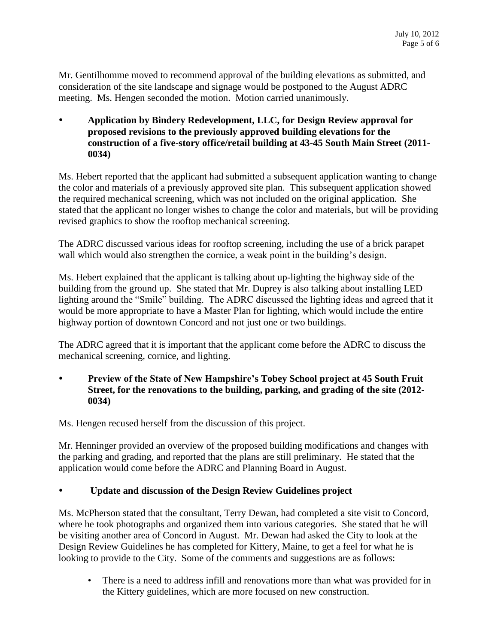Mr. Gentilhomme moved to recommend approval of the building elevations as submitted, and consideration of the site landscape and signage would be postponed to the August ADRC meeting. Ms. Hengen seconded the motion. Motion carried unanimously.

 **Application by Bindery Redevelopment, LLC, for Design Review approval for proposed revisions to the previously approved building elevations for the construction of a five-story office/retail building at 43-45 South Main Street (2011- 0034)**

Ms. Hebert reported that the applicant had submitted a subsequent application wanting to change the color and materials of a previously approved site plan. This subsequent application showed the required mechanical screening, which was not included on the original application. She stated that the applicant no longer wishes to change the color and materials, but will be providing revised graphics to show the rooftop mechanical screening.

The ADRC discussed various ideas for rooftop screening, including the use of a brick parapet wall which would also strengthen the cornice, a weak point in the building's design.

Ms. Hebert explained that the applicant is talking about up-lighting the highway side of the building from the ground up. She stated that Mr. Duprey is also talking about installing LED lighting around the "Smile" building. The ADRC discussed the lighting ideas and agreed that it would be more appropriate to have a Master Plan for lighting, which would include the entire highway portion of downtown Concord and not just one or two buildings.

The ADRC agreed that it is important that the applicant come before the ADRC to discuss the mechanical screening, cornice, and lighting.

 **Preview of the State of New Hampshire's Tobey School project at 45 South Fruit Street, for the renovations to the building, parking, and grading of the site (2012- 0034)**

Ms. Hengen recused herself from the discussion of this project.

Mr. Henninger provided an overview of the proposed building modifications and changes with the parking and grading, and reported that the plans are still preliminary. He stated that the application would come before the ADRC and Planning Board in August.

# **Update and discussion of the Design Review Guidelines project**

Ms. McPherson stated that the consultant, Terry Dewan, had completed a site visit to Concord, where he took photographs and organized them into various categories. She stated that he will be visiting another area of Concord in August. Mr. Dewan had asked the City to look at the Design Review Guidelines he has completed for Kittery, Maine, to get a feel for what he is looking to provide to the City. Some of the comments and suggestions are as follows:

• There is a need to address infill and renovations more than what was provided for in the Kittery guidelines, which are more focused on new construction.